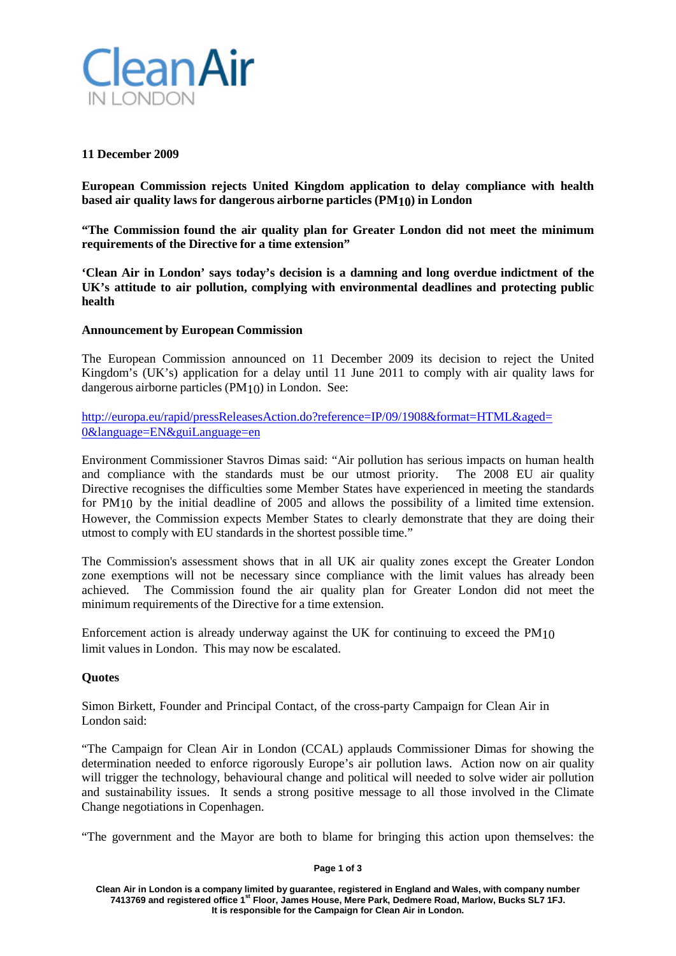

# **11 December 2009**

**European Commission rejects United Kingdom application to delay compliance with health based air quality laws for dangerous airborne particles (PM10) in London**

**"The Commission found the air quality plan for Greater London did not meet the minimum requirements of the Directive for a time extension"**

**'Clean Air in London' says today's decision is a damning and long overdue indictment of the UK's attitude to air pollution, complying with environmental deadlines and protecting public health**

# **Announcement by European Commission**

The European Commission announced on 11 December 2009 its decision to reject the United Kingdom's (UK's) application for a delay until 11 June 2011 to comply with air quality laws for dangerous airborne particles (PM10) in London. See:

http://europa.eu/rapid/pressReleasesAction.do?reference=IP/09/1908&format=HTML&aged= 0&language=EN&guiLanguage=en

Environment Commissioner Stavros Dimas said: "Air pollution has serious impacts on human health and compliance with the standards must be our utmost priority. The 2008 EU air quality Directive recognises the difficulties some Member States have experienced in meeting the standards for PM10 by the initial deadline of 2005 and allows the possibility of a limited time extension. However, the Commission expects Member States to clearly demonstrate that they are doing their utmost to comply with EU standards in the shortest possible time."

The Commission's assessment shows that in all UK air quality zones except the Greater London zone exemptions will not be necessary since compliance with the limit values has already been achieved. The Commission found the air quality plan for Greater London did not meet the minimum requirements of the Directive for a time extension.

Enforcement action is already underway against the UK for continuing to exceed the PM10 limit values in London. This may now be escalated.

# **Quotes**

Simon Birkett, Founder and Principal Contact, of the cross-party Campaign for Clean Air in London said:

"The Campaign for Clean Air in London (CCAL) applauds Commissioner Dimas for showing the determination needed to enforce rigorously Europe's air pollution laws. Action now on air quality will trigger the technology, behavioural change and political will needed to solve wider air pollution and sustainability issues. It sends a strong positive message to all those involved in the Climate Change negotiations in Copenhagen.

"The government and the Mayor are both to blame for bringing this action upon themselves: the

## **Page 1 of 3**

**Clean Air in London is a company limited by guarantee, registered in England and Wales, with company number 7413769 and registered office 1st Floor, James House, Mere Park, Dedmere Road, Marlow, Bucks SL7 1FJ. It is responsible for the Campaign for Clean Air in London.**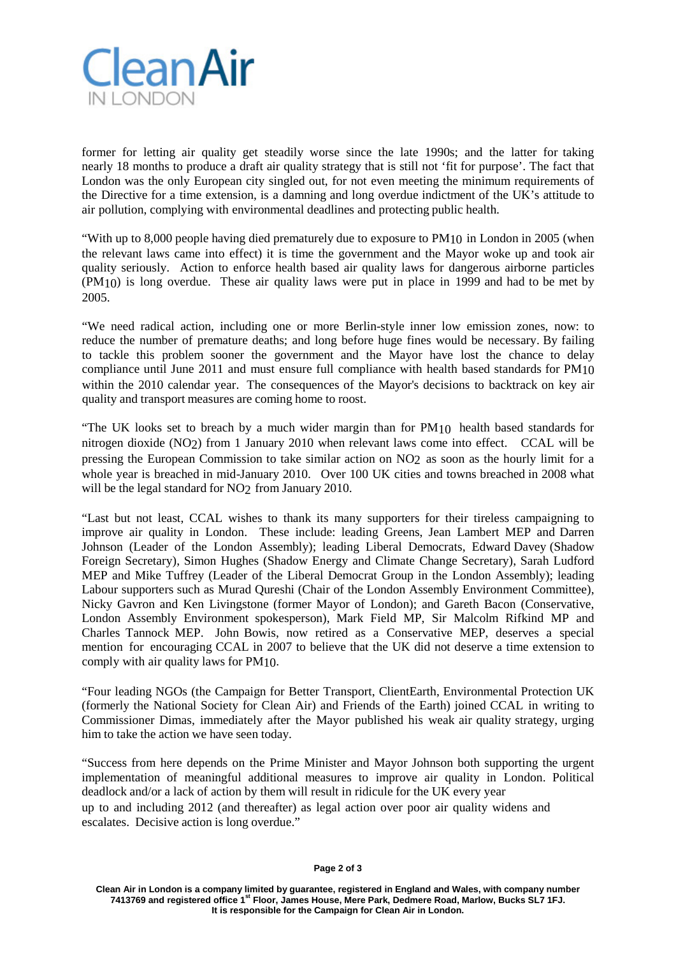

former for letting air quality get steadily worse since the late 1990s; and the latter for taking nearly 18 months to produce a draft air quality strategy that is still not 'fit for purpose'. The fact that London was the only European city singled out, for not even meeting the minimum requirements of the Directive for a time extension, is a damning and long overdue indictment of the UK's attitude to air pollution, complying with environmental deadlines and protecting public health.

"With up to 8,000 people having died prematurely due to exposure to PM10 in London in 2005 (when the relevant laws came into effect) it is time the government and the Mayor woke up and took air quality seriously. Action to enforce health based air quality laws for dangerous airborne particles (PM10) is long overdue. These air quality laws were put in place in 1999 and had to be met by 2005.

"We need radical action, including one or more Berlin-style inner low emission zones, now: to reduce the number of premature deaths; and long before huge fines would be necessary. By failing to tackle this problem sooner the government and the Mayor have lost the chance to delay compliance until June 2011 and must ensure full compliance with health based standards for PM10 within the 2010 calendar year. The consequences of the Mayor's decisions to backtrack on key air quality and transport measures are coming home to roost.

"The UK looks set to breach by a much wider margin than for PM10 health based standards for nitrogen dioxide (NO2) from 1 January 2010 when relevant laws come into effect. CCAL will be pressing the European Commission to take similar action on NO2 as soon as the hourly limit for a whole year is breached in mid-January 2010. Over 100 UK cities and towns breached in 2008 what will be the legal standard for NO<sub>2</sub> from January 2010.

"Last but not least, CCAL wishes to thank its many supporters for their tireless campaigning to improve air quality in London. These include: leading Greens, Jean Lambert MEP and Darren Johnson (Leader of the London Assembly); leading Liberal Democrats, Edward Davey (Shadow Foreign Secretary), Simon Hughes (Shadow Energy and Climate Change Secretary), Sarah Ludford MEP and Mike Tuffrey (Leader of the Liberal Democrat Group in the London Assembly); leading Labour supporters such as Murad Qureshi (Chair of the London Assembly Environment Committee), Nicky Gavron and Ken Livingstone (former Mayor of London); and Gareth Bacon (Conservative, London Assembly Environment spokesperson), Mark Field MP, Sir Malcolm Rifkind MP and Charles Tannock MEP. John Bowis, now retired as a Conservative MEP, deserves a special mention for encouraging CCAL in 2007 to believe that the UK did not deserve a time extension to comply with air quality laws for PM10.

"Four leading NGOs (the Campaign for Better Transport, ClientEarth, Environmental Protection UK (formerly the National Society for Clean Air) and Friends of the Earth) joined CCAL in writing to Commissioner Dimas, immediately after the Mayor published his weak air quality strategy, urging him to take the action we have seen today.

"Success from here depends on the Prime Minister and Mayor Johnson both supporting the urgent implementation of meaningful additional measures to improve air quality in London. Political deadlock and/or a lack of action by them will result in ridicule for the UK every year

up to and including 2012 (and thereafter) as legal action over poor air quality widens and escalates. Decisive action is long overdue."